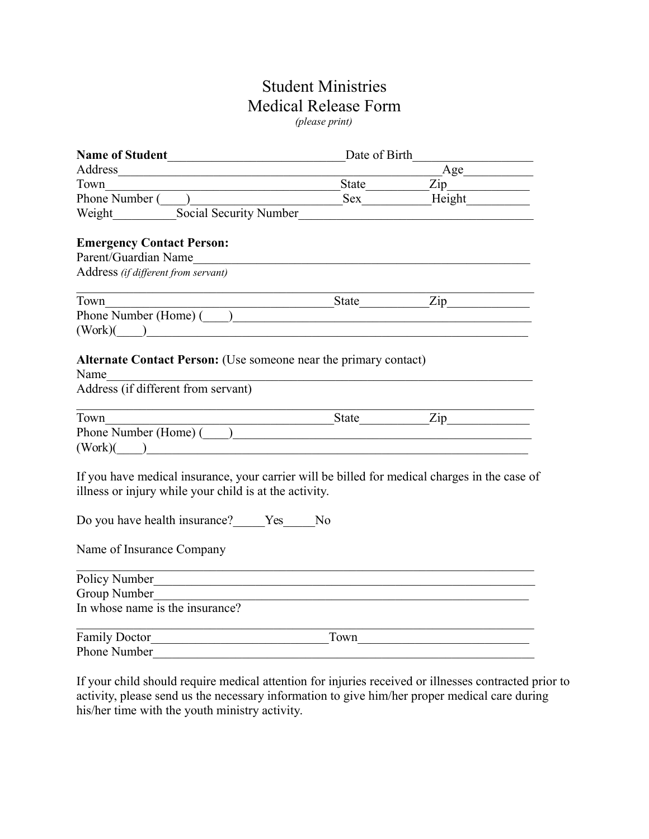## Student Ministries Medical Release Form *(please print)*

| <b>Name of Student</b><br><u> 1989 - Johann Barbara, martxa alemani</u> ar a                                                                                                                                                   | Date of Birth  |               |  |
|--------------------------------------------------------------------------------------------------------------------------------------------------------------------------------------------------------------------------------|----------------|---------------|--|
| Address<br><u> 1980 - Johann Barn, mars ann an t-Amhain Aonaich ann an t-Amhain Aonaich ann an t-Amhain Aonaich ann an t-A</u>                                                                                                 |                | Age           |  |
| Town<br><u> 1989 - Johann Stoff, deutscher Stoffen und der Stoffen und der Stoffen und der Stoffen und der Stoffen und der</u>                                                                                                 |                |               |  |
|                                                                                                                                                                                                                                |                |               |  |
| Social Security Number<br>Weight                                                                                                                                                                                               |                |               |  |
|                                                                                                                                                                                                                                |                |               |  |
| <b>Emergency Contact Person:</b>                                                                                                                                                                                               |                |               |  |
|                                                                                                                                                                                                                                |                |               |  |
| Address (if different from servant)                                                                                                                                                                                            |                |               |  |
| Town                                                                                                                                                                                                                           |                | $State$ $Zip$ |  |
| Phone Number (Home) ( )                                                                                                                                                                                                        |                |               |  |
| $(Work)$ $\qquad \qquad$                                                                                                                                                                                                       |                |               |  |
|                                                                                                                                                                                                                                |                |               |  |
| Alternate Contact Person: (Use someone near the primary contact)                                                                                                                                                               |                |               |  |
| Name                                                                                                                                                                                                                           |                |               |  |
| Address (if different from servant)                                                                                                                                                                                            |                |               |  |
|                                                                                                                                                                                                                                |                |               |  |
| Town                                                                                                                                                                                                                           |                | State Zip     |  |
| Phone Number (Home) (2000)                                                                                                                                                                                                     |                |               |  |
| $(Work)$ $\qquad \qquad$                                                                                                                                                                                                       |                |               |  |
| If you have medical insurance, your carrier will be billed for medical charges in the case of                                                                                                                                  |                |               |  |
| illness or injury while your child is at the activity.                                                                                                                                                                         |                |               |  |
|                                                                                                                                                                                                                                |                |               |  |
| Do you have health insurance? Yes                                                                                                                                                                                              | N <sub>0</sub> |               |  |
|                                                                                                                                                                                                                                |                |               |  |
| Name of Insurance Company                                                                                                                                                                                                      |                |               |  |
| <u> 1989 - Johann Barbara, margaret eta idazlearia (h. 1989).</u>                                                                                                                                                              |                |               |  |
| Policy Number                                                                                                                                                                                                                  |                |               |  |
| Group Number and the Second Second Second Second Second Second Second Second Second Second Second Second Second Second Second Second Second Second Second Second Second Second Second Second Second Second Second Second Secon |                |               |  |
| In whose name is the insurance?                                                                                                                                                                                                |                |               |  |
| Family Doctor                                                                                                                                                                                                                  | Town           |               |  |
| <b>Phone Number</b>                                                                                                                                                                                                            |                |               |  |
|                                                                                                                                                                                                                                |                |               |  |

If your child should require medical attention for injuries received or illnesses contracted prior to activity, please send us the necessary information to give him/her proper medical care during his/her time with the youth ministry activity.